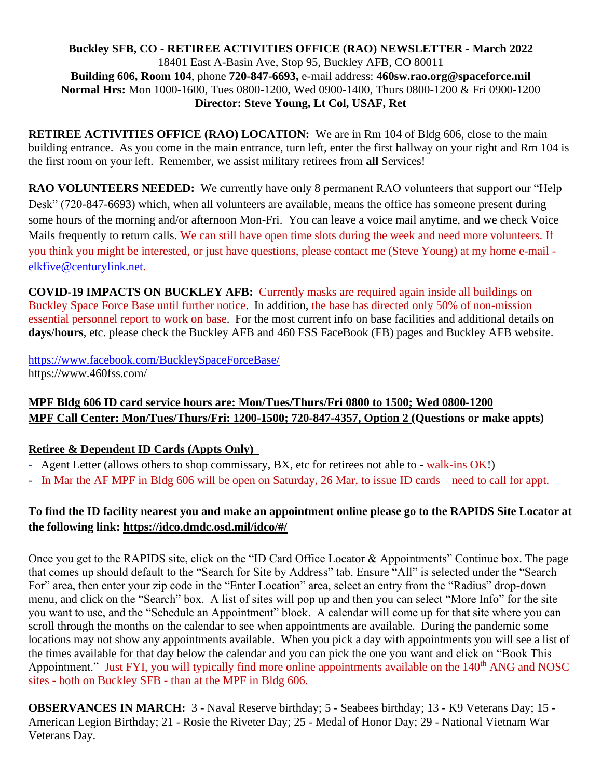#### **Buckley SFB, CO - RETIREE ACTIVITIES OFFICE (RAO) NEWSLETTER - March 2022** 18401 East A-Basin Ave, Stop 95, Buckley AFB, CO 80011 **Building 606, Room 104**, phone **720-847-6693,** e-mail address: **460sw.rao.org@spaceforce.mil Normal Hrs:** Mon 1000-1600, Tues 0800-1200, Wed 0900-1400, Thurs 0800-1200 & Fri 0900-1200 **Director: Steve Young, Lt Col, USAF, Ret**

**RETIREE ACTIVITIES OFFICE (RAO) LOCATION:** We are in Rm 104 of Bldg 606, close to the main building entrance. As you come in the main entrance, turn left, enter the first hallway on your right and Rm 104 is the first room on your left. Remember, we assist military retirees from **all** Services!

**RAO VOLUNTEERS NEEDED:** We currently have only 8 permanent RAO volunteers that support our "Help Desk" (720-847-6693) which, when all volunteers are available, means the office has someone present during some hours of the morning and/or afternoon Mon-Fri. You can leave a voice mail anytime, and we check Voice Mails frequently to return calls. We can still have open time slots during the week and need more volunteers. If you think you might be interested, or just have questions, please contact me (Steve Young) at my home e-mail [elkfive@centurylink.net.](mailto:elkfive@centurylink.net)

**COVID-19 IMPACTS ON BUCKLEY AFB:** Currently masks are required again inside all buildings on Buckley Space Force Base until further notice. In addition, the base has directed only 50% of non-mission essential personnel report to work on base. For the most current info on base facilities and additional details on **days**/**hours**, etc. please check the Buckley AFB and 460 FSS FaceBook (FB) pages and Buckley AFB website.

<https://www.facebook.com/BuckleySpaceForceBase/> <https://www.460fss.com/>

# **MPF Bldg 606 ID card service hours are: Mon/Tues/Thurs/Fri 0800 to 1500; Wed 0800-1200 MPF Call Center: Mon/Tues/Thurs/Fri: 1200-1500; 720-847-4357, Option 2 (Questions or make appts)**

## **Retiree & Dependent ID Cards (Appts Only)**

- Agent Letter (allows others to shop commissary, BX, etc for retirees not able to walk-ins OK!)
- In Mar the AF MPF in Bldg 606 will be open on Saturday, 26 Mar, to issue ID cards need to call for appt.

# **To find the ID facility nearest you and make an appointment online please go to the RAPIDS Site Locator at the following link:<https://idco.dmdc.osd.mil/idco/#/>**

Once you get to the RAPIDS site, click on the "ID Card Office Locator & Appointments" Continue box. The page that comes up should default to the "Search for Site by Address" tab. Ensure "All" is selected under the "Search For" area, then enter your zip code in the "Enter Location" area, select an entry from the "Radius" drop-down menu, and click on the "Search" box. A list of sites will pop up and then you can select "More Info" for the site you want to use, and the "Schedule an Appointment" block. A calendar will come up for that site where you can scroll through the months on the calendar to see when appointments are available. During the pandemic some locations may not show any appointments available. When you pick a day with appointments you will see a list of the times available for that day below the calendar and you can pick the one you want and click on "Book This Appointment." Just FYI, you will typically find more online appointments available on the 140<sup>th</sup> ANG and NOSC sites - both on Buckley SFB - than at the MPF in Bldg 606.

**OBSERVANCES IN MARCH:** 3 - Naval Reserve birthday; 5 - Seabees birthday; 13 - K9 Veterans Day; 15 - American Legion Birthday; 21 - Rosie the Riveter Day; 25 - Medal of Honor Day; 29 - National Vietnam War Veterans Day.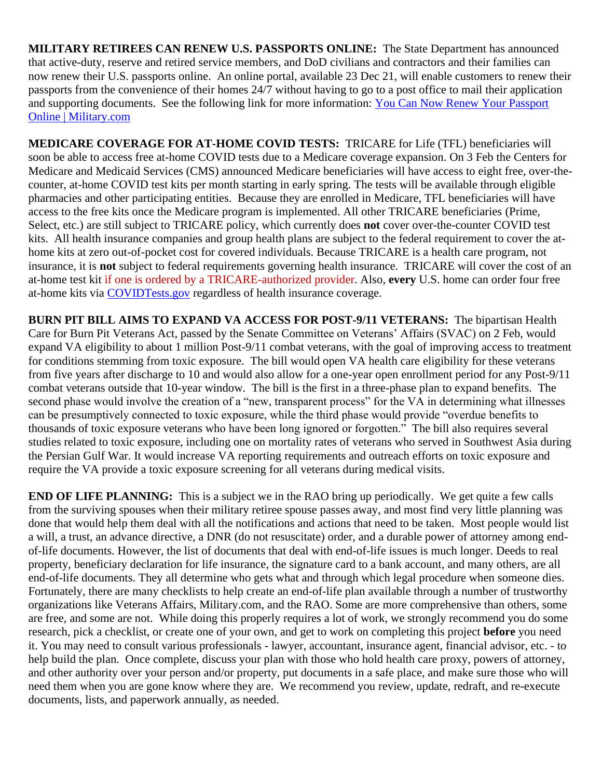**MILITARY RETIREES CAN RENEW U.S. PASSPORTS ONLINE:** The State Department has announced that active-duty, reserve and retired service members, and DoD civilians and contractors and their families can now renew their U.S. passports online. An online portal, available 23 Dec 21, will enable customers to renew their passports from the convenience of their homes 24/7 without having to go to a post office to mail their application and supporting documents. See the following link for more information: You Can Now Renew Your Passport [Online | Military.com](https://www.military.com/daily-news/2021/12/22/you-can-now-renew-your-passport-online.html)

**MEDICARE COVERAGE FOR AT-HOME COVID TESTS:** TRICARE for Life (TFL) beneficiaries will soon be able to access free at-home COVID tests due to a Medicare coverage expansion. On 3 Feb the Centers for Medicare and Medicaid Services (CMS) announced Medicare beneficiaries will have access to eight free, over-thecounter, at-home COVID test kits per month starting in early spring. The tests will be available through eligible pharmacies and other participating entities. Because they are enrolled in Medicare, TFL beneficiaries will have access to the free kits once the Medicare program is implemented. All other TRICARE beneficiaries (Prime, Select, etc.) are still subject to TRICARE policy, which currently does **not** cover over-the-counter COVID test kits. All health insurance companies and group health plans are subject to the federal requirement to cover the athome kits at zero out-of-pocket cost for covered individuals. Because TRICARE is a health care program, not insurance, it is **not** subject to federal requirements governing health insurance. TRICARE will cover the cost of an at-home test kit if one is ordered by a TRICARE-authorized provider. Also, **every** U.S. home can order four free at-home kits via [COVIDTests.gov](https://www.covidtests.gov/) regardless of health insurance coverage.

**BURN PIT BILL AIMS TO EXPAND VA ACCESS FOR POST-9/11 VETERANS:** The bipartisan Health Care for Burn Pit Veterans Act, passed by the Senate Committee on Veterans' Affairs (SVAC) on 2 Feb, would expand VA eligibility to about 1 million Post-9/11 combat veterans, with the goal of improving access to treatment for conditions stemming from toxic exposure. The bill would open VA health care eligibility for these veterans from five years after discharge to 10 and would also allow for a one-year open enrollment period for any Post-9/11 combat veterans outside that 10-year window. The bill is the first in a three-phase plan to expand benefits. The second phase would involve the creation of a "new, transparent process" for the VA in determining what illnesses can be presumptively connected to toxic exposure, while the third phase would provide "overdue benefits to thousands of toxic exposure veterans who have been long ignored or forgotten." The bill also requires several studies related to toxic exposure, including one on mortality rates of veterans who served in Southwest Asia during the Persian Gulf War. It would increase VA reporting requirements and outreach efforts on toxic exposure and require the VA provide a toxic exposure screening for all veterans during medical visits.

**END OF LIFE PLANNING:** This is a subject we in the RAO bring up periodically. We get quite a few calls from the surviving spouses when their military retiree spouse passes away, and most find very little planning was done that would help them deal with all the notifications and actions that need to be taken. Most people would list a will, a trust, an advance directive, a DNR (do not resuscitate) order, and a durable power of attorney among endof-life documents. However, the list of documents that deal with end-of-life issues is much longer. Deeds to real property, beneficiary declaration for life insurance, the signature card to a bank account, and many others, are all end-of-life documents. They all determine who gets what and through which legal procedure when someone dies. Fortunately, there are many checklists to help create an end-of-life plan available through a number of trustworthy organizations like Veterans Affairs, Military.com, and the RAO. Some are more comprehensive than others, some are free, and some are not. While doing this properly requires a lot of work, we strongly recommend you do some research, pick a checklist, or create one of your own, and get to work on completing this project **before** you need it. You may need to consult various professionals - lawyer, accountant, insurance agent, financial advisor, etc. - to help build the plan. Once complete, discuss your plan with those who hold health care proxy, powers of attorney, and other authority over your person and/or property, put documents in a safe place, and make sure those who will need them when you are gone know where they are. We recommend you review, update, redraft, and re-execute documents, lists, and paperwork annually, as needed.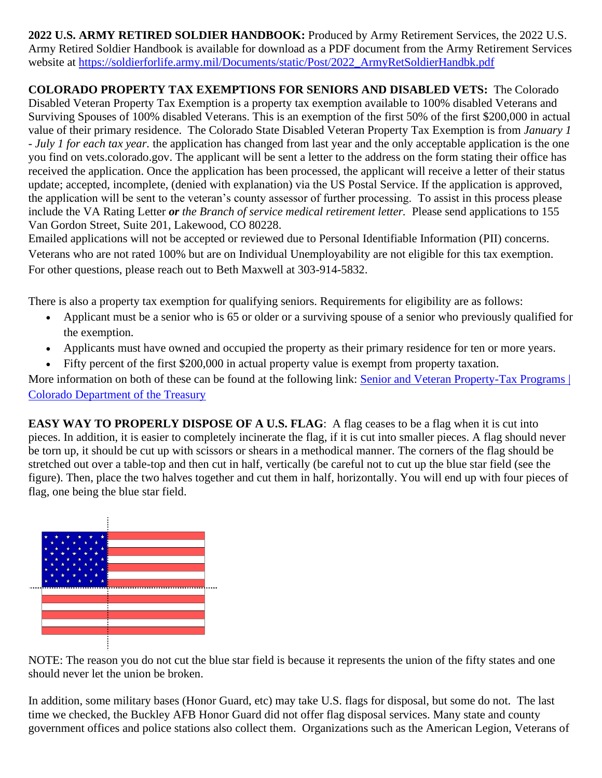**2022 U.S. ARMY RETIRED SOLDIER HANDBOOK:** Produced by Army Retirement Services, the 2022 U.S. Army Retired Soldier Handbook is available for download as a PDF document from the Army Retirement Services website at [https://soldierforlife.army.mil/Documents/static/Post/2022\\_ArmyRetSoldierHandbk.pdf](https://soldierforlife.army.mil/Documents/static/Post/2022_ArmyRetSoldierHandbk.pdf)

**COLORADO PROPERTY TAX EXEMPTIONS FOR SENIORS AND DISABLED VETS:** The Colorado Disabled Veteran Property Tax Exemption is a property tax exemption available to 100% disabled Veterans and Surviving Spouses of 100% disabled Veterans. This is an exemption of the first 50% of the first \$200,000 in actual value of their primary residence.The Colorado State Disabled Veteran Property Tax Exemption is from *January 1 - July 1 for each tax year.* the application has changed from last year and the only acceptable application is the one you find on vets.colorado.gov. The applicant will be sent a letter to the address on the form stating their office has received the application. Once the application has been processed, the applicant will receive a letter of their status update; accepted, incomplete, (denied with explanation) via the US Postal Service. If the application is approved, the application will be sent to the veteran's county assessor of further processing. To assist in this process please include the VA Rating Letter *or the Branch of service medical retirement letter.* Please send applications to 155 Van Gordon Street, Suite 201, Lakewood, CO 80228.

Emailed applications will not be accepted or reviewed due to Personal Identifiable Information (PII) concerns. Veterans who are not rated 100% but are on Individual Unemployability are not eligible for this tax exemption. For other questions, please reach out to Beth Maxwell at 303-914-5832.

There is also a property tax exemption for qualifying seniors. Requirements for eligibility are as follows:

- Applicant must be a senior who is 65 or older or a surviving spouse of a senior who previously qualified for the exemption.
- Applicants must have owned and occupied the property as their primary residence for ten or more years.
- Fifty percent of the first \$200,000 in actual property value is exempt from property taxation.

More information on both of these can be found at the following link: Senior and Veteran Property-Tax Programs | [Colorado Department of the Treasury](https://treasury.colorado.gov/senior-and-veteran-property-tax-programs)

**EASY WAY TO PROPERLY DISPOSE OF A U.S. FLAG:** A flag ceases to be a flag when it is cut into pieces. In addition, it is easier to completely incinerate the flag, if it is cut into smaller pieces. A flag should never be torn up, it should be cut up with scissors or shears in a methodical manner. The corners of the flag should be stretched out over a table-top and then cut in half, vertically (be careful not to cut up the blue star field (see the figure). Then, place the two halves together and cut them in half, horizontally. You will end up with four pieces of flag, one being the blue star field.



NOTE: The reason you do not cut the blue star field is because it represents the union of the fifty states and one should never let the union be broken.

In addition, some military bases (Honor Guard, etc) may take U.S. flags for disposal, but some do not. The last time we checked, the Buckley AFB Honor Guard did not offer flag disposal services. Many state and county government offices and police stations also collect them. Organizations such as the American Legion, Veterans of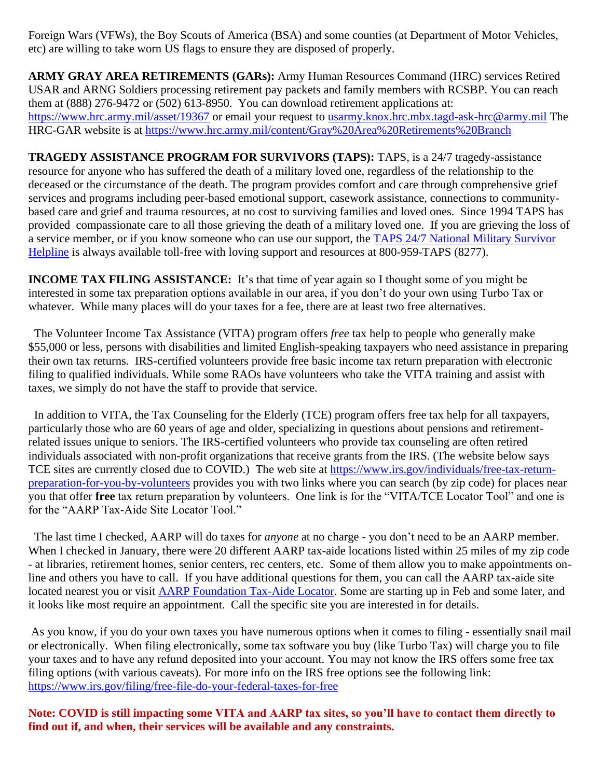Foreign Wars (VFWs), the Boy Scouts of America (BSA) and some counties (at Department of Motor Vehicles, etc) are willing to take worn US flags to ensure they are disposed of properly.

**ARMY GRAY AREA RETIREMENTS (GARs):** Army Human Resources Command (HRC) services Retired USAR and ARNG Soldiers processing retirement pay packets and family members with RCSBP. You can reach them at (888) 276-9472 or (502) 613-8950. You can download retirement applications at: <https://www.hrc.army.mil/asset/19367> or email your request to [usarmy.knox.hrc.mbx.tagd-ask-hrc@army.mil](mailto:usarmy.knox.hrc.mbx.tagd-ask-hrc@army.mil) The HRC-GAR website is at<https://www.hrc.army.mil/content/Gray%20Area%20Retirements%20Branch>

**TRAGEDY ASSISTANCE PROGRAM FOR SURVIVORS (TAPS):** TAPS, is a 24/7 tragedy-assistance resource for anyone who has suffered the death of a military loved one, regardless of the relationship to the deceased or the circumstance of the death. The program provides comfort and care through comprehensive grief services and programs including peer-based emotional support, casework assistance, connections to communitybased care and grief and trauma resources, at no cost to surviving families and loved ones. Since 1994 TAPS has provided compassionate care to all those grieving the death of a military loved one. If you are grieving the loss of a service member, or if you know someone who can use our support, the [TAPS 24/7 National Military Survivor](https://www.taps.org/join-taps/survivor-helpline/)  [Helpline](https://www.taps.org/join-taps/survivor-helpline/) is always available toll-free with loving support and resources at 800-959-TAPS (8277).

**INCOME TAX FILING ASSISTANCE:** It's that time of year again so I thought some of you might be interested in some tax preparation options available in our area, if you don't do your own using Turbo Tax or whatever. While many places will do your taxes for a fee, there are at least two free alternatives.

 The Volunteer Income Tax Assistance (VITA) program offers *free* tax help to people who generally make \$55,000 or less, persons with disabilities and limited English-speaking taxpayers who need assistance in preparing their own tax returns. IRS-certified volunteers provide free basic income tax return preparation with electronic filing to qualified individuals. While some RAOs have volunteers who take the VITA training and assist with taxes, we simply do not have the staff to provide that service.

 In addition to VITA, the Tax Counseling for the Elderly (TCE) program offers free tax help for all taxpayers, particularly those who are 60 years of age and older, specializing in questions about pensions and retirementrelated issues unique to seniors. The IRS-certified volunteers who provide tax counseling are often retired individuals associated with non-profit organizations that receive grants from the IRS. (The website below says TCE sites are currently closed due to COVID.) The web site at [https://www.irs.gov/individuals/free-tax-return](https://www.irs.gov/individuals/free-tax-return-preparation-for-you-by-volunteers)[preparation-for-you-by-volunteers](https://www.irs.gov/individuals/free-tax-return-preparation-for-you-by-volunteers) provides you with two links where you can search (by zip code) for places near you that offer **free** tax return preparation by volunteers. One link is for the "VITA/TCE Locator Tool" and one is for the "AARP Tax-Aide Site Locator Tool."

 The last time I checked, AARP will do taxes for *anyone* at no charge - you don't need to be an AARP member. When I checked in January, there were 20 different AARP tax-aide locations listed within 25 miles of my zip code - at libraries, retirement homes, senior centers, rec centers, etc. Some of them allow you to make appointments online and others you have to call. If you have additional questions for them, you can call the AARP tax-aide site located nearest you or visit [AARP Foundation](https://www.aarp.org/money/taxes/aarp_taxaide/locations.html?cmp=RDRCT-FNDTX_DEC23_010) Tax-Aide Locator. Some are starting up in Feb and some later, and it looks like most require an appointment. Call the specific site you are interested in for details.

As you know, if you do your own taxes you have numerous options when it comes to filing - essentially snail mail or electronically. When filing electronically, some tax software you buy (like Turbo Tax) will charge you to file your taxes and to have any refund deposited into your account. You may not know the IRS offers some free tax filing options (with various caveats). For more info on the IRS free options see the following link: <https://www.irs.gov/filing/free-file-do-your-federal-taxes-for-free>

**Note: COVID is still impacting some VITA and AARP tax sites, so you'll have to contact them directly to find out if, and when, their services will be available and any constraints.**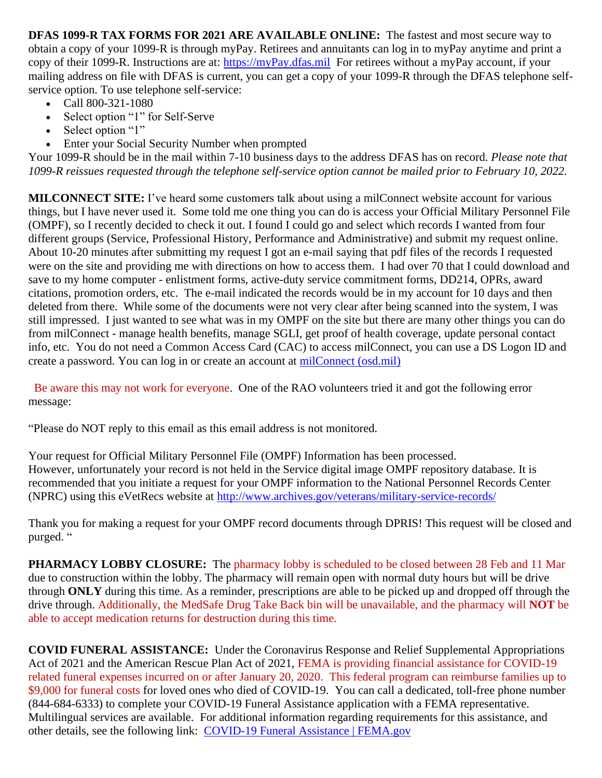**DFAS 1099-R TAX FORMS FOR 2021 ARE AVAILABLE ONLINE:** The fastest and most secure way to obtain a copy of your 1099-R is through myPay. Retirees and annuitants can log in to myPay anytime and print a copy of their 1099-R. Instructions are at: [https://myPay.dfas.mil](https://mypay.dfas.mil/) For retirees without a myPay account, if your mailing address on file with DFAS is current, you can get a copy of your 1099-R through the DFAS telephone selfservice option. To use telephone self-service:

- Call 800-321-1080
- Select option "1" for Self-Serve
- Select option "1"
- Enter your Social Security Number when prompted

Your 1099-R should be in the mail within 7-10 business days to the address DFAS has on record. *Please note that 1099-R reissues requested through the telephone self-service option cannot be mailed prior to February 10, 2022.*

**MILCONNECT SITE:** I've heard some customers talk about using a milConnect website account for various things, but I have never used it. Some told me one thing you can do is access your Official Military Personnel File (OMPF), so I recently decided to check it out. I found I could go and select which records I wanted from four different groups (Service, Professional History, Performance and Administrative) and submit my request online. About 10-20 minutes after submitting my request I got an e-mail saying that pdf files of the records I requested were on the site and providing me with directions on how to access them. I had over 70 that I could download and save to my home computer - enlistment forms, active-duty service commitment forms, DD214, OPRs, award citations, promotion orders, etc. The e-mail indicated the records would be in my account for 10 days and then deleted from there. While some of the documents were not very clear after being scanned into the system, I was still impressed. I just wanted to see what was in my OMPF on the site but there are many other things you can do from milConnect - manage health benefits, manage SGLI, get proof of health coverage, update personal contact info, etc. You do not need a Common Access Card (CAC) to access milConnect, you can use a DS Logon ID and create a password. You can log in or create an account at [milConnect \(osd.mil\)](https://milconnect.dmdc.osd.mil/milconnect/)

 Be aware this may not work for everyone. One of the RAO volunteers tried it and got the following error message:

"Please do NOT reply to this email as this email address is not monitored.

Your request for Official Military Personnel File (OMPF) Information has been processed. However, unfortunately your record is not held in the Service digital image OMPF repository database. It is recommended that you initiate a request for your OMPF information to the National Personnel Records Center (NPRC) using this eVetRecs website at<http://www.archives.gov/veterans/military-service-records/>

Thank you for making a request for your OMPF record documents through DPRIS! This request will be closed and purged. "

**PHARMACY LOBBY CLOSURE:** The pharmacy lobby is scheduled to be closed between 28 Feb and 11 Mar due to construction within the lobby. The pharmacy will remain open with normal duty hours but will be drive through **ONLY** during this time. As a reminder, prescriptions are able to be picked up and dropped off through the drive through. Additionally, the MedSafe Drug Take Back bin will be unavailable, and the pharmacy will **NOT** be able to accept medication returns for destruction during this time.

**COVID FUNERAL ASSISTANCE:** Under the Coronavirus Response and Relief Supplemental Appropriations Act of 2021 and the American Rescue Plan Act of 2021, FEMA is providing financial assistance for COVID-19 related funeral expenses incurred on or after January 20, 2020. This federal program can reimburse families up to \$9,000 for funeral costs for loved ones who died of COVID-19. You can call a dedicated, toll-free phone number (844-684-6333) to complete your COVID-19 Funeral Assistance application with a FEMA representative. Multilingual services are available. For additional information regarding requirements for this assistance, and other details, see the following link: [COVID-19 Funeral Assistance | FEMA.gov](https://www.fema.gov/disaster/coronavirus/economic/funeral-assistance)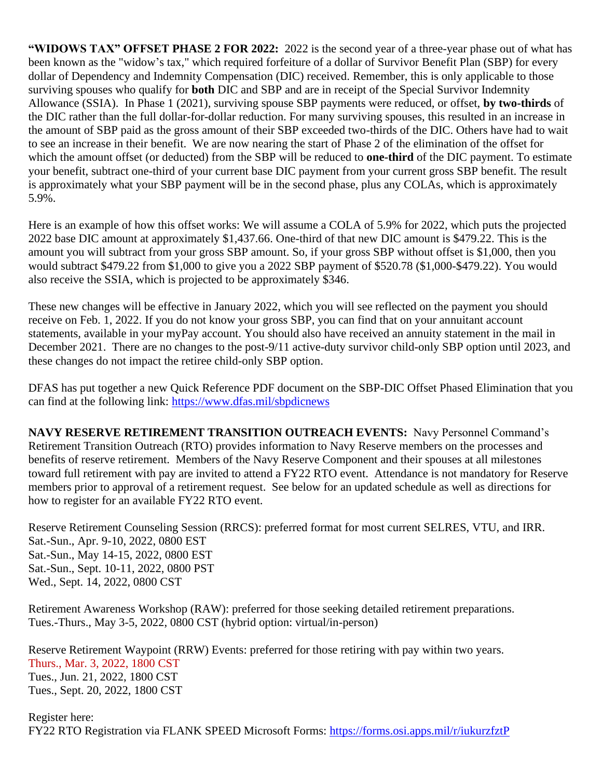**"WIDOWS TAX" OFFSET PHASE 2 FOR 2022:** 2022 is the second year of a three-year phase out of what has been known as the "widow's tax," which required forfeiture of a dollar of Survivor Benefit Plan (SBP) for every dollar of Dependency and Indemnity Compensation (DIC) received. Remember, this is only applicable to those surviving spouses who qualify for **both** DIC and SBP and are in receipt of the Special Survivor Indemnity Allowance (SSIA). In Phase 1 (2021), surviving spouse SBP payments were reduced, or offset, **by two-thirds** of the DIC rather than the full dollar-for-dollar reduction. For many surviving spouses, this resulted in an increase in the amount of SBP paid as the gross amount of their SBP exceeded two-thirds of the DIC. Others have had to wait to see an increase in their benefit. We are now nearing the start of Phase 2 of the elimination of the offset for which the amount offset (or deducted) from the SBP will be reduced to **one-third** of the DIC payment. To estimate your benefit, subtract one-third of your current base DIC payment from your current gross SBP benefit. The result is approximately what your SBP payment will be in the second phase, plus any COLAs, which is approximately 5.9%.

Here is an example of how this offset works: We will assume a COLA of 5.9% for 2022, which puts the projected 2022 base DIC amount at approximately \$1,437.66. One-third of that new DIC amount is \$479.22. This is the amount you will subtract from your gross SBP amount. So, if your gross SBP without offset is \$1,000, then you would subtract \$479.22 from \$1,000 to give you a 2022 SBP payment of \$520.78 (\$1,000-\$479.22). You would also receive the SSIA, which is projected to be approximately \$346.

These new changes will be effective in January 2022, which you will see reflected on the payment you should receive on Feb. 1, 2022. If you do not know your gross SBP, you can find that on your annuitant account statements, available in your myPay account. You should also have received an annuity statement in the mail in December 2021. There are no changes to the post-9/11 active-duty survivor child-only SBP option until 2023, and these changes do not impact the retiree child-only SBP option.

DFAS has put together a new Quick Reference PDF document on the SBP-DIC Offset Phased Elimination that you can find at the following link:<https://www.dfas.mil/sbpdicnews>

**NAVY RESERVE RETIREMENT TRANSITION OUTREACH EVENTS:** Navy Personnel Command's Retirement Transition Outreach (RTO) provides information to Navy Reserve members on the processes and benefits of reserve retirement. Members of the Navy Reserve Component and their spouses at all milestones toward full retirement with pay are invited to attend a FY22 RTO event. Attendance is not mandatory for Reserve members prior to approval of a retirement request. See below for an updated schedule as well as directions for how to register for an available FY22 RTO event.

Reserve Retirement Counseling Session (RRCS): preferred format for most current SELRES, VTU, and IRR. Sat.-Sun., Apr. 9-10, 2022, 0800 EST Sat.-Sun., May 14-15, 2022, 0800 EST Sat.-Sun., Sept. 10-11, 2022, 0800 PST Wed., Sept. 14, 2022, 0800 CST

Retirement Awareness Workshop (RAW): preferred for those seeking detailed retirement preparations. Tues.-Thurs., May 3-5, 2022, 0800 CST (hybrid option: virtual/in-person)

Reserve Retirement Waypoint (RRW) Events: preferred for those retiring with pay within two years. Thurs., Mar. 3, 2022, 1800 CST Tues., Jun. 21, 2022, 1800 CST Tues., Sept. 20, 2022, 1800 CST

Register here: FY22 RTO Registration via FLANK SPEED Microsoft Forms:<https://forms.osi.apps.mil/r/iukurzfztP>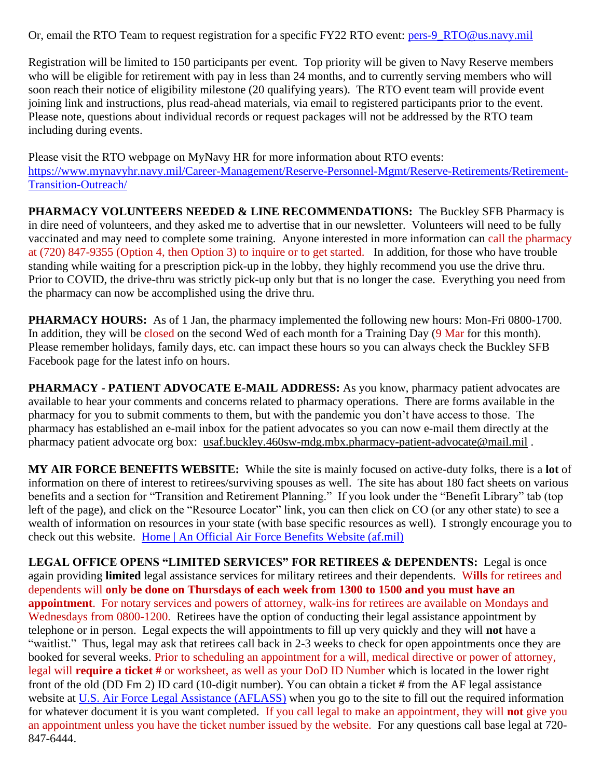Or, email the RTO Team to request registration for a specific FY22 RTO event: [pers-9\\_RTO@us.navy.mil](mailto:pers-9_RTO@us.navy.mil)

Registration will be limited to 150 participants per event. Top priority will be given to Navy Reserve members who will be eligible for retirement with pay in less than 24 months, and to currently serving members who will soon reach their notice of eligibility milestone (20 qualifying years). The RTO event team will provide event joining link and instructions, plus read-ahead materials, via email to registered participants prior to the event. Please note, questions about individual records or request packages will not be addressed by the RTO team including during events.

Please visit the RTO webpage on MyNavy HR for more information about RTO events: [https://www.mynavyhr.navy.mil/Career-Management/Reserve-Personnel-Mgmt/Reserve-Retirements/Retirement-](https://www.mynavyhr.navy.mil/Career-Management/Reserve-Personnel-Mgmt/Reserve-Retirements/Retirement-Transition-Outreach/)[Transition-Outreach/](https://www.mynavyhr.navy.mil/Career-Management/Reserve-Personnel-Mgmt/Reserve-Retirements/Retirement-Transition-Outreach/)

**PHARMACY VOLUNTEERS NEEDED & LINE RECOMMENDATIONS:** The Buckley SFB Pharmacy is in dire need of volunteers, and they asked me to advertise that in our newsletter. Volunteers will need to be fully vaccinated and may need to complete some training. Anyone interested in more information can call the pharmacy at (720) 847-9355 (Option 4, then Option 3) to inquire or to get started. In addition, for those who have trouble standing while waiting for a prescription pick-up in the lobby, they highly recommend you use the drive thru. Prior to COVID, the drive-thru was strictly pick-up only but that is no longer the case. Everything you need from the pharmacy can now be accomplished using the drive thru.

**PHARMACY HOURS:** As of 1 Jan, the pharmacy implemented the following new hours: Mon-Fri 0800-1700. In addition, they will be closed on the second Wed of each month for a Training Day (9 Mar for this month). Please remember holidays, family days, etc. can impact these hours so you can always check the Buckley SFB Facebook page for the latest info on hours.

**PHARMACY - PATIENT ADVOCATE E-MAIL ADDRESS:** As you know, pharmacy patient advocates are available to hear your comments and concerns related to pharmacy operations. There are forms available in the pharmacy for you to submit comments to them, but with the pandemic you don't have access to those. The pharmacy has established an e-mail inbox for the patient advocates so you can now e-mail them directly at the pharmacy patient advocate org box: [usaf.buckley.460sw-mdg.mbx.pharmacy-patient-advocate@mail.mil](mailto:usaf.buckley.460sw-mdg.mbx.pharmacy-patient-advocate@mail.mil) .

**MY AIR FORCE BENEFITS WEBSITE:** While the site is mainly focused on active-duty folks, there is a **lot** of information on there of interest to retirees/surviving spouses as well. The site has about 180 fact sheets on various benefits and a section for "Transition and Retirement Planning." If you look under the "Benefit Library" tab (top left of the page), and click on the "Resource Locator" link, you can then click on CO (or any other state) to see a wealth of information on resources in your state (with base specific resources as well). I strongly encourage you to check out this website. [Home | An Official Air Force Benefits Website \(af.mil\)](https://www.myairforcebenefits.us.af.mil/)

**LEGAL OFFICE OPENS "LIMITED SERVICES" FOR RETIREES & DEPENDENTS:** Legal is once again providing **limited** legal assistance services for military retirees and their dependents. W**ills** for retirees and dependents will **only be done on Thursdays of each week from 1300 to 1500 and you must have an appointment**. For notary services and powers of attorney, walk-ins for retirees are available on Mondays and Wednesdays from 0800-1200. Retirees have the option of conducting their legal assistance appointment by telephone or in person. Legal expects the will appointments to fill up very quickly and they will **not** have a "waitlist." Thus, legal may ask that retirees call back in 2-3 weeks to check for open appointments once they are booked for several weeks. Prior to scheduling an appointment for a will, medical directive or power of attorney, legal will **require a ticket #** or worksheet, as well as your DoD ID Number which is located in the lower right front of the old (DD Fm 2) ID card (10-digit number). You can obtain a ticket # from the AF legal assistance website at [U.S. Air Force Legal Assistance \(AFLASS\)](https://aflegalassistance.law.af.mil/lass/lass.html) when you go to the site to fill out the required information for whatever document it is you want completed. If you call legal to make an appointment, they will **not** give you an appointment unless you have the ticket number issued by the website. For any questions call base legal at 720- 847-6444.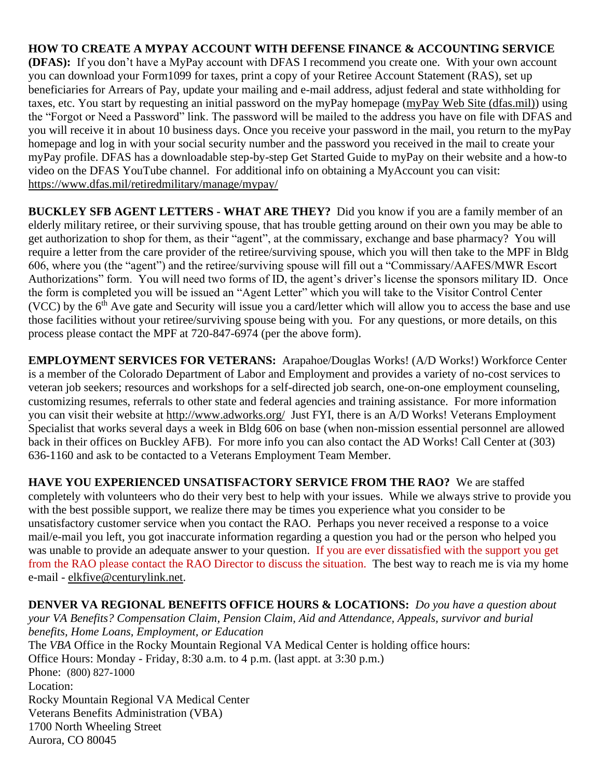**HOW TO CREATE A MYPAY ACCOUNT WITH DEFENSE FINANCE & ACCOUNTING SERVICE (DFAS):** If you don't have a MyPay account with DFAS I recommend you create one. With your own account you can download your Form1099 for taxes, print a copy of your Retiree Account Statement (RAS), set up beneficiaries for Arrears of Pay, update your mailing and e-mail address, adjust federal and state withholding for taxes, etc. You start by requesting an initial password on the myPay homepage [\(myPay Web Site \(dfas.mil\)\)](https://mypay.dfas.mil/#/) using the "Forgot or Need a Password" link. The password will be mailed to the address you have on file with DFAS and you will receive it in about 10 business days. Once you receive your password in the mail, you return to the myPay homepage and log in with your social security number and the password you received in the mail to create your myPay profile. DFAS has a downloadable step-by-step Get Started Guide to myPay on their website and a how-to video on the DFAS YouTube channel. For additional info on obtaining a MyAccount you can visit: <https://www.dfas.mil/retiredmilitary/manage/mypay/>

**BUCKLEY SFB AGENT LETTERS - WHAT ARE THEY?** Did you know if you are a family member of an elderly military retiree, or their surviving spouse, that has trouble getting around on their own you may be able to get authorization to shop for them, as their "agent", at the commissary, exchange and base pharmacy? You will require a letter from the care provider of the retiree/surviving spouse, which you will then take to the MPF in Bldg 606, where you (the "agent") and the retiree/surviving spouse will fill out a "Commissary/AAFES/MWR Escort Authorizations" form. You will need two forms of ID, the agent's driver's license the sponsors military ID. Once the form is completed you will be issued an "Agent Letter" which you will take to the Visitor Control Center (VCC) by the  $6<sup>th</sup>$  Ave gate and Security will issue you a card/letter which will allow you to access the base and use those facilities without your retiree/surviving spouse being with you. For any questions, or more details, on this process please contact the MPF at 720-847-6974 (per the above form).

**EMPLOYMENT SERVICES FOR VETERANS:** Arapahoe/Douglas Works! (A/D Works!) Workforce Center is a member of the Colorado Department of Labor and Employment and provides a variety of no-cost services to veteran job seekers; resources and workshops for a self-directed job search, one-on-one employment counseling, customizing resumes, referrals to other state and federal agencies and training assistance. For more information you can visit their website at<http://www.adworks.org/>Just FYI, there is an A/D Works! Veterans Employment Specialist that works several days a week in Bldg 606 on base (when non-mission essential personnel are allowed back in their offices on Buckley AFB). For more info you can also contact the AD Works! Call Center at (303) 636-1160 and ask to be contacted to a Veterans Employment Team Member.

**HAVE YOU EXPERIENCED UNSATISFACTORY SERVICE FROM THE RAO?** We are staffed completely with volunteers who do their very best to help with your issues. While we always strive to provide you with the best possible support, we realize there may be times you experience what you consider to be unsatisfactory customer service when you contact the RAO. Perhaps you never received a response to a voice mail/e-mail you left, you got inaccurate information regarding a question you had or the person who helped you was unable to provide an adequate answer to your question. If you are ever dissatisfied with the support you get from the RAO please contact the RAO Director to discuss the situation. The best way to reach me is via my home e-mail - [elkfive@centurylink.net.](mailto:elkfive@centurylink.net)

**DENVER VA REGIONAL BENEFITS OFFICE HOURS & LOCATIONS:** *Do you have a question about your VA Benefits? Compensation Claim, Pension Claim, Aid and Attendance, Appeals, survivor and burial benefits, Home Loans, Employment, or Education*  The *VBA* Office in the Rocky Mountain Regional VA Medical Center is holding office hours: Office Hours: Monday - Friday, 8:30 a.m. to 4 p.m. (last appt. at 3:30 p.m.) Phone: [\(800\) 827-1000](https://www.google.com/search?source=hp&ei=1bIFXOnJLePk8APkxJfIDw&q=denver+va+regional+benefits+office+phone+number&oq=Denver+va+regional+benef&gs_l=psy-ab.1.1.0i22i30l4.1057.7073..9944...0.0..0.148.2902.2j23......0....1..gws-wiz.....0..0j0i131j0i10.2DXy9-Yewu0) Location: Rocky Mountain Regional VA Medical Center Veterans Benefits Administration (VBA) 1700 North Wheeling Street Aurora, CO 80045